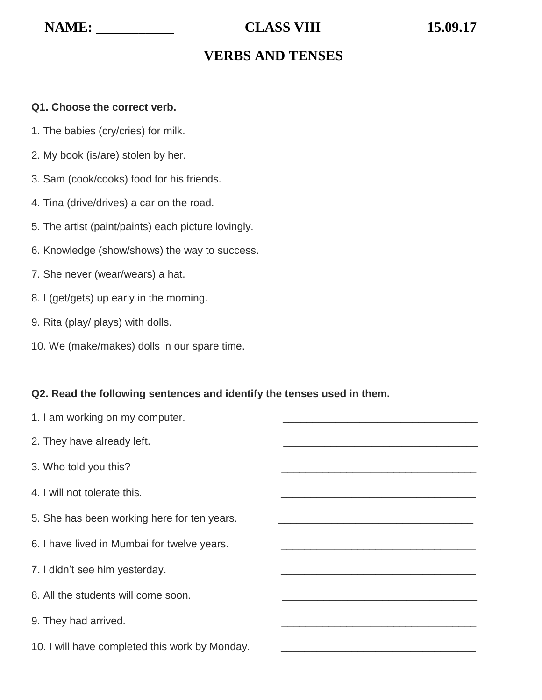# **VERBS AND TENSES**

#### **Q1. Choose the correct verb.**

- 1. The babies (cry/cries) for milk.
- 2. My book (is/are) stolen by her.
- 3. Sam (cook/cooks) food for his friends.
- 4. Tina (drive/drives) a car on the road.
- 5. The artist (paint/paints) each picture lovingly.
- 6. Knowledge (show/shows) the way to success.
- 7. She never (wear/wears) a hat.
- 8. I (get/gets) up early in the morning.
- 9. Rita (play/ plays) with dolls.
- 10. We (make/makes) dolls in our spare time.

#### **Q2. Read the following sentences and identify the tenses used in them.**

| 1. I am working on my computer.                |  |
|------------------------------------------------|--|
| 2. They have already left.                     |  |
| 3. Who told you this?                          |  |
| 4. I will not tolerate this.                   |  |
| 5. She has been working here for ten years.    |  |
| 6. I have lived in Mumbai for twelve years.    |  |
| 7. I didn't see him yesterday.                 |  |
| 8. All the students will come soon.            |  |
| 9. They had arrived.                           |  |
| 10. I will have completed this work by Monday. |  |